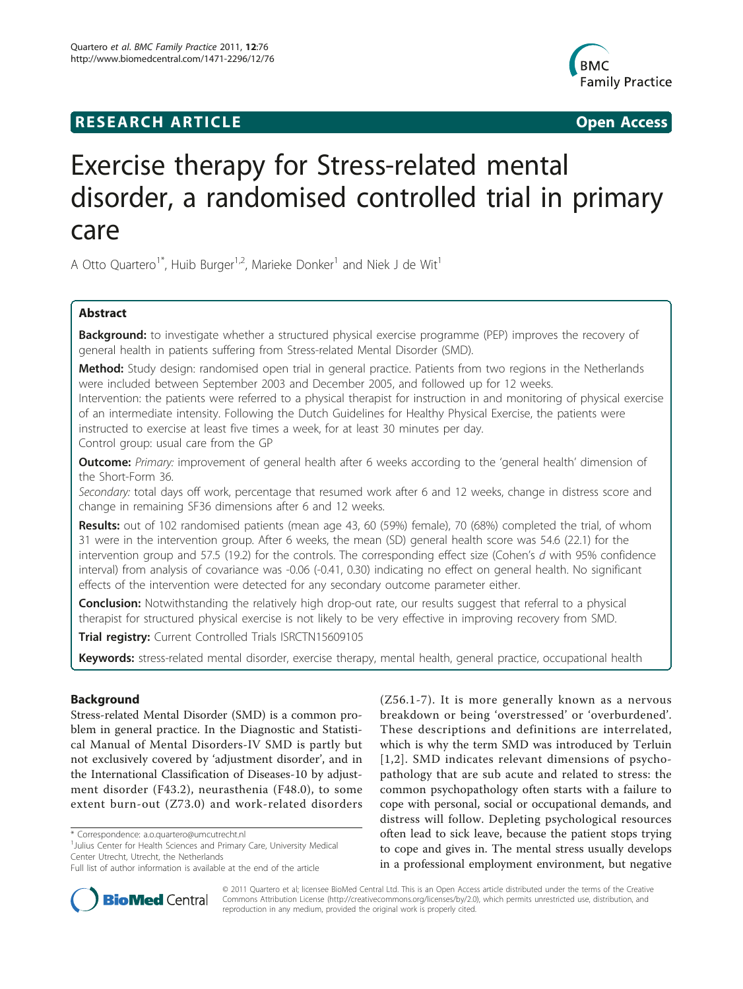# **RESEARCH ARTICLE Example 2018 12:00 Open Access**



# Exercise therapy for Stress-related mental disorder, a randomised controlled trial in primary care

A Otto Quartero<sup>1\*</sup>, Huib Burger<sup>1,2</sup>, Marieke Donker<sup>1</sup> and Niek J de Wit<sup>1</sup>

# Abstract

**Background:** to investigate whether a structured physical exercise programme (PEP) improves the recovery of general health in patients suffering from Stress-related Mental Disorder (SMD).

Method: Study design: randomised open trial in general practice. Patients from two regions in the Netherlands were included between September 2003 and December 2005, and followed up for 12 weeks.

Intervention: the patients were referred to a physical therapist for instruction in and monitoring of physical exercise of an intermediate intensity. Following the Dutch Guidelines for Healthy Physical Exercise, the patients were instructed to exercise at least five times a week, for at least 30 minutes per day. Control group: usual care from the GP

**Outcome:** Primary: improvement of general health after 6 weeks according to the 'general health' dimension of the Short-Form 36.

Secondary: total days off work, percentage that resumed work after 6 and 12 weeks, change in distress score and change in remaining SF36 dimensions after 6 and 12 weeks.

Results: out of 102 randomised patients (mean age 43, 60 (59%) female), 70 (68%) completed the trial, of whom 31 were in the intervention group. After 6 weeks, the mean (SD) general health score was 54.6 (22.1) for the intervention group and 57.5 (19.2) for the controls. The corresponding effect size (Cohen's d with 95% confidence interval) from analysis of covariance was -0.06 (-0.41, 0.30) indicating no effect on general health. No significant effects of the intervention were detected for any secondary outcome parameter either.

**Conclusion:** Notwithstanding the relatively high drop-out rate, our results suggest that referral to a physical therapist for structured physical exercise is not likely to be very effective in improving recovery from SMD.

Trial registry: Current Controlled Trials [ISRCTN15609105](http://www.controlled-trials.com/ISRCTN15609105)

Keywords: stress-related mental disorder, exercise therapy, mental health, general practice, occupational health

# Background

Stress-related Mental Disorder (SMD) is a common problem in general practice. In the Diagnostic and Statistical Manual of Mental Disorders-IV SMD is partly but not exclusively covered by 'adjustment disorder', and in the International Classification of Diseases-10 by adjustment disorder (F43.2), neurasthenia (F48.0), to some extent burn-out (Z73.0) and work-related disorders

<sup>1</sup>Julius Center for Health Sciences and Primary Care, University Medical Center Utrecht, Utrecht, the Netherlands

Full list of author information is available at the end of the article





© 2011 Quartero et al; licensee BioMed Central Ltd. This is an Open Access article distributed under the terms of the Creative Commons Attribution License [\(http://creativecommons.org/licenses/by/2.0](http://creativecommons.org/licenses/by/2.0)), which permits unrestricted use, distribution, and reproduction in any medium, provided the original work is properly cited.

<sup>\*</sup> Correspondence: [a.o.quartero@umcutrecht.nl](mailto:a.o.quartero@umcutrecht.nl)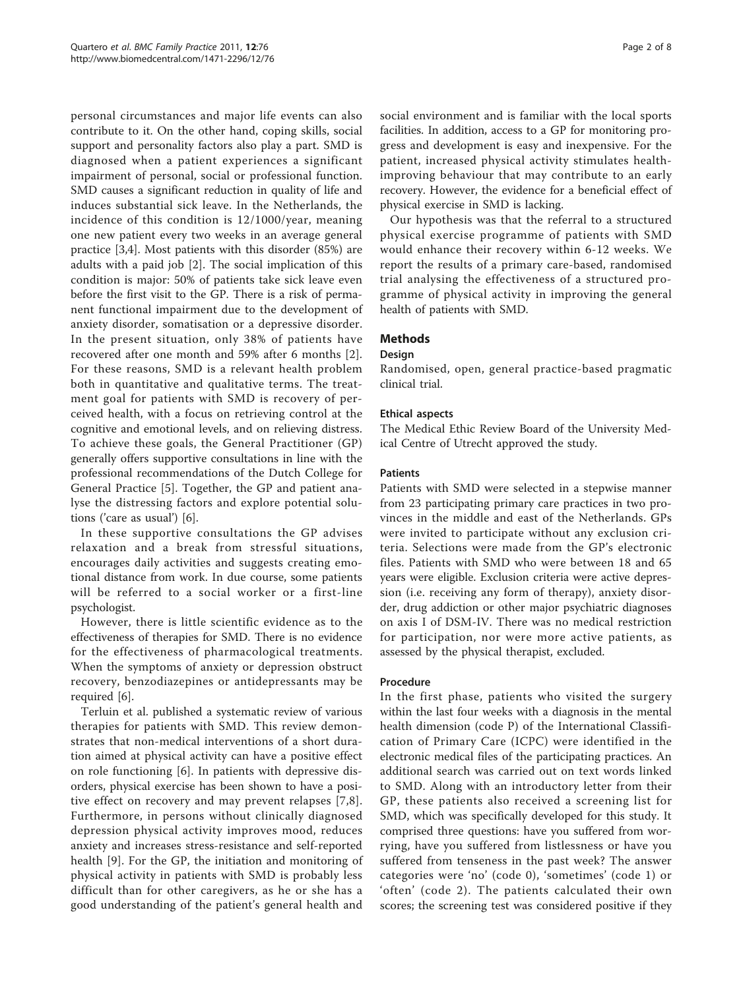personal circumstances and major life events can also contribute to it. On the other hand, coping skills, social support and personality factors also play a part. SMD is diagnosed when a patient experiences a significant impairment of personal, social or professional function. SMD causes a significant reduction in quality of life and induces substantial sick leave. In the Netherlands, the incidence of this condition is 12/1000/year, meaning one new patient every two weeks in an average general practice [\[3,4](#page-7-0)]. Most patients with this disorder (85%) are adults with a paid job [\[2](#page-7-0)]. The social implication of this condition is major: 50% of patients take sick leave even before the first visit to the GP. There is a risk of permanent functional impairment due to the development of anxiety disorder, somatisation or a depressive disorder. In the present situation, only 38% of patients have recovered after one month and 59% after 6 months [\[2](#page-7-0)]. For these reasons, SMD is a relevant health problem both in quantitative and qualitative terms. The treatment goal for patients with SMD is recovery of perceived health, with a focus on retrieving control at the cognitive and emotional levels, and on relieving distress. To achieve these goals, the General Practitioner (GP) generally offers supportive consultations in line with the professional recommendations of the Dutch College for General Practice [\[5](#page-7-0)]. Together, the GP and patient analyse the distressing factors and explore potential solutions ('care as usual') [\[6\]](#page-7-0).

In these supportive consultations the GP advises relaxation and a break from stressful situations, encourages daily activities and suggests creating emotional distance from work. In due course, some patients will be referred to a social worker or a first-line psychologist.

However, there is little scientific evidence as to the effectiveness of therapies for SMD. There is no evidence for the effectiveness of pharmacological treatments. When the symptoms of anxiety or depression obstruct recovery, benzodiazepines or antidepressants may be required [\[6](#page-7-0)].

Terluin et al. published a systematic review of various therapies for patients with SMD. This review demonstrates that non-medical interventions of a short duration aimed at physical activity can have a positive effect on role functioning [[6\]](#page-7-0). In patients with depressive disorders, physical exercise has been shown to have a positive effect on recovery and may prevent relapses [[7,8](#page-7-0)]. Furthermore, in persons without clinically diagnosed depression physical activity improves mood, reduces anxiety and increases stress-resistance and self-reported health [[9](#page-7-0)]. For the GP, the initiation and monitoring of physical activity in patients with SMD is probably less difficult than for other caregivers, as he or she has a good understanding of the patient's general health and social environment and is familiar with the local sports facilities. In addition, access to a GP for monitoring progress and development is easy and inexpensive. For the patient, increased physical activity stimulates healthimproving behaviour that may contribute to an early recovery. However, the evidence for a beneficial effect of physical exercise in SMD is lacking.

Our hypothesis was that the referral to a structured physical exercise programme of patients with SMD would enhance their recovery within 6-12 weeks. We report the results of a primary care-based, randomised trial analysing the effectiveness of a structured programme of physical activity in improving the general health of patients with SMD.

# Methods

# **Design**

Randomised, open, general practice-based pragmatic clinical trial.

# Ethical aspects

The Medical Ethic Review Board of the University Medical Centre of Utrecht approved the study.

# **Patients**

Patients with SMD were selected in a stepwise manner from 23 participating primary care practices in two provinces in the middle and east of the Netherlands. GPs were invited to participate without any exclusion criteria. Selections were made from the GP's electronic files. Patients with SMD who were between 18 and 65 years were eligible. Exclusion criteria were active depression (i.e. receiving any form of therapy), anxiety disorder, drug addiction or other major psychiatric diagnoses on axis I of DSM-IV. There was no medical restriction for participation, nor were more active patients, as assessed by the physical therapist, excluded.

# Procedure

In the first phase, patients who visited the surgery within the last four weeks with a diagnosis in the mental health dimension (code P) of the International Classification of Primary Care (ICPC) were identified in the electronic medical files of the participating practices. An additional search was carried out on text words linked to SMD. Along with an introductory letter from their GP, these patients also received a screening list for SMD, which was specifically developed for this study. It comprised three questions: have you suffered from worrying, have you suffered from listlessness or have you suffered from tenseness in the past week? The answer categories were 'no' (code 0), 'sometimes' (code 1) or 'often' (code 2). The patients calculated their own scores; the screening test was considered positive if they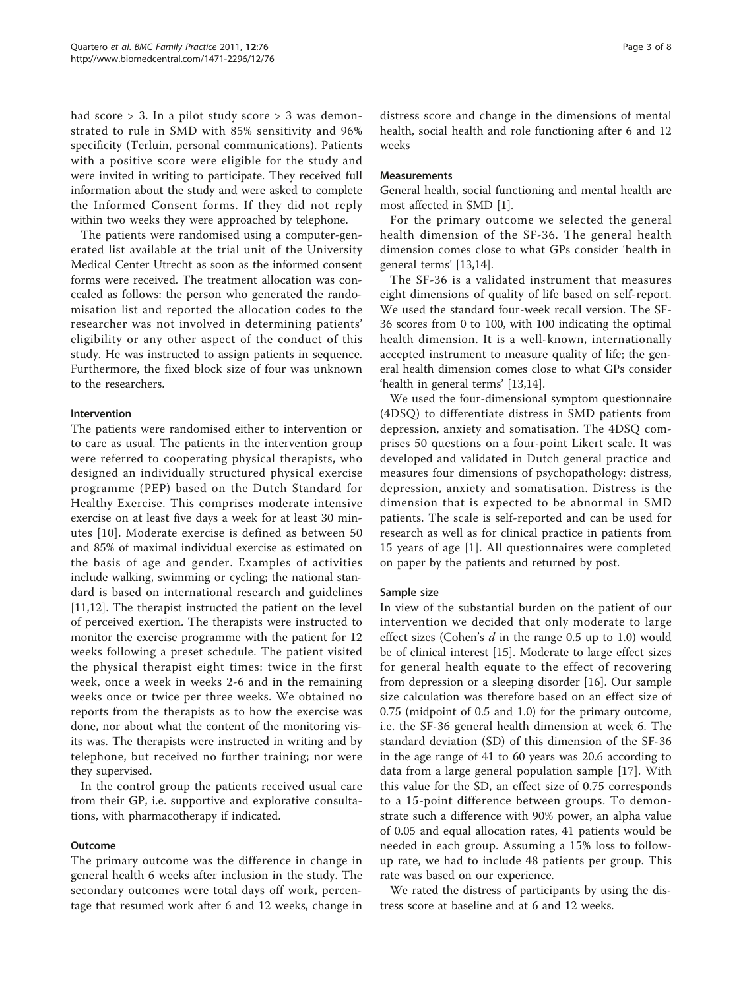had score > 3. In a pilot study score > 3 was demonstrated to rule in SMD with 85% sensitivity and 96% specificity (Terluin, personal communications). Patients with a positive score were eligible for the study and were invited in writing to participate. They received full information about the study and were asked to complete the Informed Consent forms. If they did not reply within two weeks they were approached by telephone.

The patients were randomised using a computer-generated list available at the trial unit of the University Medical Center Utrecht as soon as the informed consent forms were received. The treatment allocation was concealed as follows: the person who generated the randomisation list and reported the allocation codes to the researcher was not involved in determining patients' eligibility or any other aspect of the conduct of this study. He was instructed to assign patients in sequence. Furthermore, the fixed block size of four was unknown to the researchers.

### Intervention

The patients were randomised either to intervention or to care as usual. The patients in the intervention group were referred to cooperating physical therapists, who designed an individually structured physical exercise programme (PEP) based on the Dutch Standard for Healthy Exercise. This comprises moderate intensive exercise on at least five days a week for at least 30 minutes [[10\]](#page-7-0). Moderate exercise is defined as between 50 and 85% of maximal individual exercise as estimated on the basis of age and gender. Examples of activities include walking, swimming or cycling; the national standard is based on international research and guidelines [[11,12\]](#page-7-0). The therapist instructed the patient on the level of perceived exertion. The therapists were instructed to monitor the exercise programme with the patient for 12 weeks following a preset schedule. The patient visited the physical therapist eight times: twice in the first week, once a week in weeks 2-6 and in the remaining weeks once or twice per three weeks. We obtained no reports from the therapists as to how the exercise was done, nor about what the content of the monitoring visits was. The therapists were instructed in writing and by telephone, but received no further training; nor were they supervised.

In the control group the patients received usual care from their GP, i.e. supportive and explorative consultations, with pharmacotherapy if indicated.

#### Outcome

The primary outcome was the difference in change in general health 6 weeks after inclusion in the study. The secondary outcomes were total days off work, percentage that resumed work after 6 and 12 weeks, change in

distress score and change in the dimensions of mental health, social health and role functioning after 6 and 12 weeks

#### Measurements

General health, social functioning and mental health are most affected in SMD [[1](#page-7-0)].

For the primary outcome we selected the general health dimension of the SF-36. The general health dimension comes close to what GPs consider 'health in general terms' [[13,14](#page-7-0)].

The SF-36 is a validated instrument that measures eight dimensions of quality of life based on self-report. We used the standard four-week recall version. The SF-36 scores from 0 to 100, with 100 indicating the optimal health dimension. It is a well-known, internationally accepted instrument to measure quality of life; the general health dimension comes close to what GPs consider 'health in general terms' [\[13,14\]](#page-7-0).

We used the four-dimensional symptom questionnaire (4DSQ) to differentiate distress in SMD patients from depression, anxiety and somatisation. The 4DSQ comprises 50 questions on a four-point Likert scale. It was developed and validated in Dutch general practice and measures four dimensions of psychopathology: distress, depression, anxiety and somatisation. Distress is the dimension that is expected to be abnormal in SMD patients. The scale is self-reported and can be used for research as well as for clinical practice in patients from 15 years of age [[1\]](#page-7-0). All questionnaires were completed on paper by the patients and returned by post.

#### Sample size

In view of the substantial burden on the patient of our intervention we decided that only moderate to large effect sizes (Cohen's  $d$  in the range 0.5 up to 1.0) would be of clinical interest [\[15](#page-7-0)]. Moderate to large effect sizes for general health equate to the effect of recovering from depression or a sleeping disorder [[16](#page-7-0)]. Our sample size calculation was therefore based on an effect size of 0.75 (midpoint of 0.5 and 1.0) for the primary outcome, i.e. the SF-36 general health dimension at week 6. The standard deviation (SD) of this dimension of the SF-36 in the age range of 41 to 60 years was 20.6 according to data from a large general population sample [\[17](#page-7-0)]. With this value for the SD, an effect size of 0.75 corresponds to a 15-point difference between groups. To demonstrate such a difference with 90% power, an alpha value of 0.05 and equal allocation rates, 41 patients would be needed in each group. Assuming a 15% loss to followup rate, we had to include 48 patients per group. This rate was based on our experience.

We rated the distress of participants by using the distress score at baseline and at 6 and 12 weeks.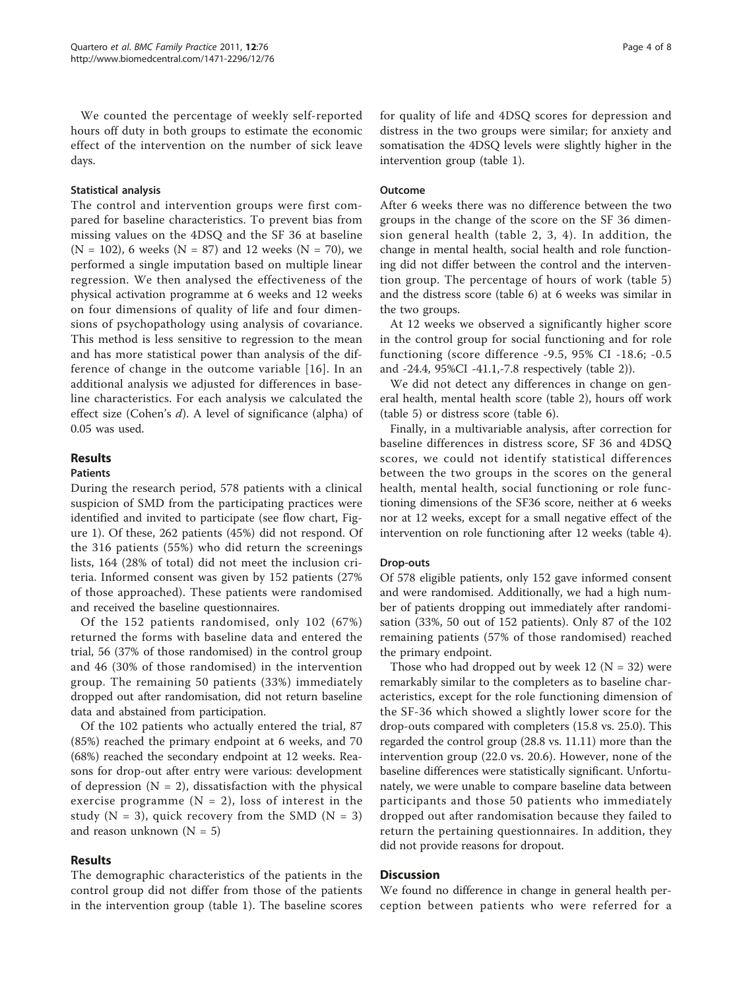We counted the percentage of weekly self-reported hours off duty in both groups to estimate the economic effect of the intervention on the number of sick leave days.

#### Statistical analysis

The control and intervention groups were first compared for baseline characteristics. To prevent bias from missing values on the 4DSQ and the SF 36 at baseline  $(N = 102)$ , 6 weeks  $(N = 87)$  and 12 weeks  $(N = 70)$ , we performed a single imputation based on multiple linear regression. We then analysed the effectiveness of the physical activation programme at 6 weeks and 12 weeks on four dimensions of quality of life and four dimensions of psychopathology using analysis of covariance. This method is less sensitive to regression to the mean and has more statistical power than analysis of the difference of change in the outcome variable [[16](#page-7-0)]. In an additional analysis we adjusted for differences in baseline characteristics. For each analysis we calculated the effect size (Cohen's d). A level of significance (alpha) of 0.05 was used.

# Results

#### Patients

During the research period, 578 patients with a clinical suspicion of SMD from the participating practices were identified and invited to participate (see flow chart, Figure [1](#page-4-0)). Of these, 262 patients (45%) did not respond. Of the 316 patients (55%) who did return the screenings lists, 164 (28% of total) did not meet the inclusion criteria. Informed consent was given by 152 patients (27% of those approached). These patients were randomised and received the baseline questionnaires.

Of the 152 patients randomised, only 102 (67%) returned the forms with baseline data and entered the trial, 56 (37% of those randomised) in the control group and 46 (30% of those randomised) in the intervention group. The remaining 50 patients (33%) immediately dropped out after randomisation, did not return baseline data and abstained from participation.

Of the 102 patients who actually entered the trial, 87 (85%) reached the primary endpoint at 6 weeks, and 70 (68%) reached the secondary endpoint at 12 weeks. Reasons for drop-out after entry were various: development of depression  $(N = 2)$ , dissatisfaction with the physical exercise programme  $(N = 2)$ , loss of interest in the study ( $N = 3$ ), quick recovery from the SMD ( $N = 3$ ) and reason unknown  $(N = 5)$ 

#### Results

The demographic characteristics of the patients in the control group did not differ from those of the patients in the intervention group (table [1](#page-5-0)). The baseline scores for quality of life and 4DSQ scores for depression and distress in the two groups were similar; for anxiety and somatisation the 4DSQ levels were slightly higher in the intervention group (table [1](#page-5-0)).

#### Outcome

After 6 weeks there was no difference between the two groups in the change of the score on the SF 36 dimension general health (table [2,](#page-5-0) [3](#page-6-0), [4](#page-6-0)). In addition, the change in mental health, social health and role functioning did not differ between the control and the intervention group. The percentage of hours of work (table [5](#page-6-0)) and the distress score (table [6](#page-6-0)) at 6 weeks was similar in the two groups.

At 12 weeks we observed a significantly higher score in the control group for social functioning and for role functioning (score difference -9.5, 95% CI -18.6; -0.5 and -24.4, 95%CI -41.1,-7.8 respectively (table [2\)](#page-5-0)).

We did not detect any differences in change on general health, mental health score (table [2\)](#page-5-0), hours off work (table [5\)](#page-6-0) or distress score (table [6\)](#page-6-0).

Finally, in a multivariable analysis, after correction for baseline differences in distress score, SF 36 and 4DSQ scores, we could not identify statistical differences between the two groups in the scores on the general health, mental health, social functioning or role functioning dimensions of the SF36 score, neither at 6 weeks nor at 12 weeks, except for a small negative effect of the intervention on role functioning after 12 weeks (table [4](#page-6-0)).

#### Drop-outs

Of 578 eligible patients, only 152 gave informed consent and were randomised. Additionally, we had a high number of patients dropping out immediately after randomisation (33%, 50 out of 152 patients). Only 87 of the 102 remaining patients (57% of those randomised) reached the primary endpoint.

Those who had dropped out by week  $12 (N = 32)$  were remarkably similar to the completers as to baseline characteristics, except for the role functioning dimension of the SF-36 which showed a slightly lower score for the drop-outs compared with completers (15.8 vs. 25.0). This regarded the control group (28.8 vs. 11.11) more than the intervention group (22.0 vs. 20.6). However, none of the baseline differences were statistically significant. Unfortunately, we were unable to compare baseline data between participants and those 50 patients who immediately dropped out after randomisation because they failed to return the pertaining questionnaires. In addition, they did not provide reasons for dropout.

#### **Discussion**

We found no difference in change in general health perception between patients who were referred for a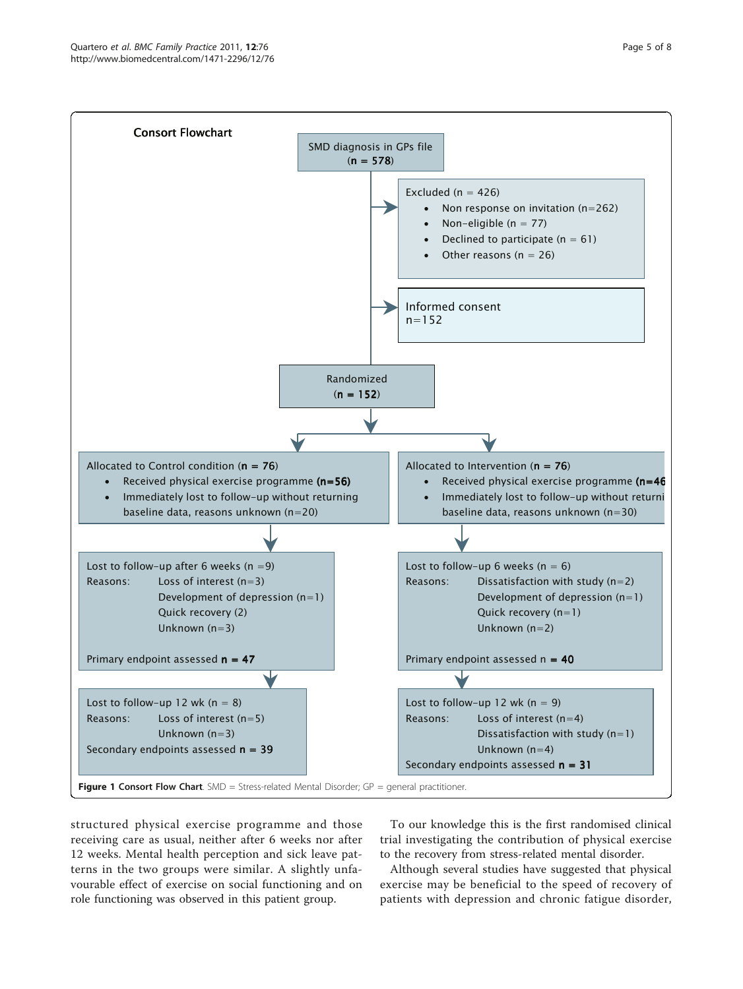<span id="page-4-0"></span>

structured physical exercise programme and those receiving care as usual, neither after 6 weeks nor after 12 weeks. Mental health perception and sick leave patterns in the two groups were similar. A slightly unfavourable effect of exercise on social functioning and on role functioning was observed in this patient group.

To our knowledge this is the first randomised clinical trial investigating the contribution of physical exercise to the recovery from stress-related mental disorder.

Although several studies have suggested that physical exercise may be beneficial to the speed of recovery of patients with depression and chronic fatigue disorder,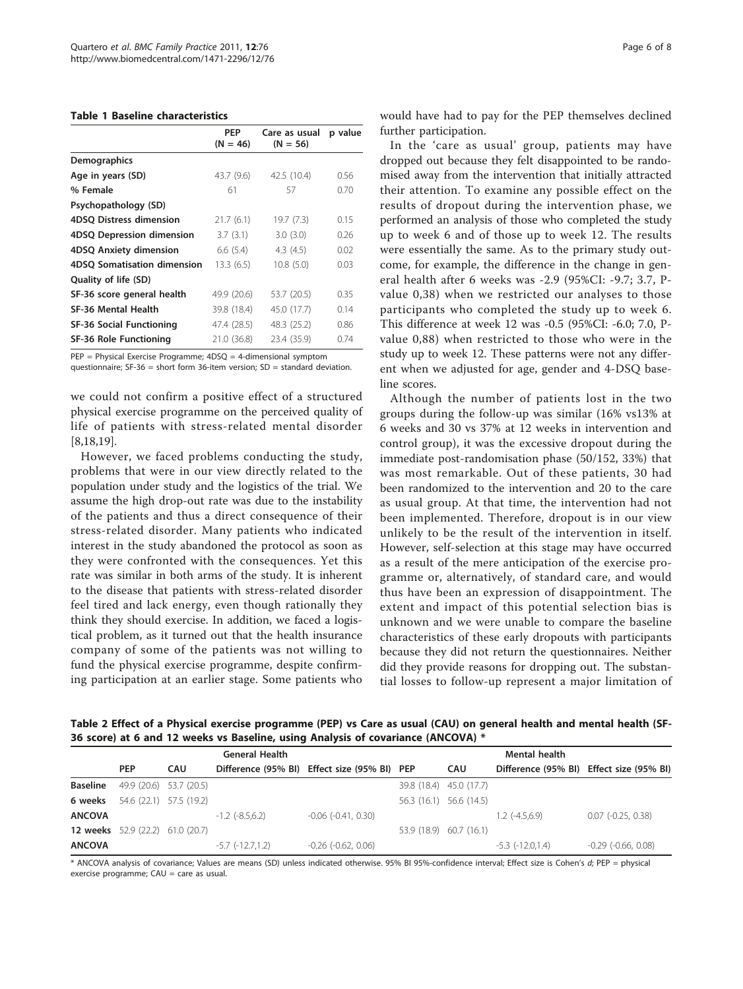#### <span id="page-5-0"></span>Table 1 Baseline characteristics

|                                 | <b>PEP</b><br>$(N = 46)$ | Care as usual<br>$(N = 56)$ | p value |
|---------------------------------|--------------------------|-----------------------------|---------|
| Demographics                    |                          |                             |         |
| Age in years (SD)               | 43.7(9.6)                | 42.5 (10.4)                 | 0.56    |
| % Female                        | 61                       | 57                          | 0.70    |
| Psychopathology (SD)            |                          |                             |         |
| <b>4DSO Distress dimension</b>  | 21.7(6.1)                | 19.7 (7.3)                  | 0.15    |
| 4DSQ Depression dimension       | 3.7(3.1)                 | 3.0(3.0)                    | 0.26    |
| 4DSQ Anxiety dimension          | 6.6(5.4)                 | 4.3(4.5)                    | 0.02    |
| 4DSO Somatisation dimension     | 13.3(6.5)                | 10.8(5.0)                   | 0.03    |
| Quality of life (SD)            |                          |                             |         |
| SF-36 score general health      | 49.9 (20.6)              | 53.7 (20.5)                 | 0.35    |
| <b>SF-36 Mental Health</b>      | 39.8 (18.4)              | 45.0 (17.7)                 | 0.14    |
| <b>SF-36 Social Functioning</b> | 47.4 (28.5)              | 48.3 (25.2)                 | 0.86    |
| SF-36 Role Functioning          | 21.0 (36.8)              | 23.4 (35.9)                 | 0.74    |

PEP = Physical Exercise Programme; 4DSQ = 4-dimensional symptom questionnaire; SF-36 = short form 36-item version; SD = standard deviation.

we could not confirm a positive effect of a structured physical exercise programme on the perceived quality of life of patients with stress-related mental disorder [[8,18,19](#page-7-0)].

However, we faced problems conducting the study, problems that were in our view directly related to the population under study and the logistics of the trial. We assume the high drop-out rate was due to the instability of the patients and thus a direct consequence of their stress-related disorder. Many patients who indicated interest in the study abandoned the protocol as soon as they were confronted with the consequences. Yet this rate was similar in both arms of the study. It is inherent to the disease that patients with stress-related disorder feel tired and lack energy, even though rationally they think they should exercise. In addition, we faced a logistical problem, as it turned out that the health insurance company of some of the patients was not willing to fund the physical exercise programme, despite confirming participation at an earlier stage. Some patients who would have had to pay for the PEP themselves declined further participation.

In the 'care as usual' group, patients may have dropped out because they felt disappointed to be randomised away from the intervention that initially attracted their attention. To examine any possible effect on the results of dropout during the intervention phase, we performed an analysis of those who completed the study up to week 6 and of those up to week 12. The results were essentially the same. As to the primary study outcome, for example, the difference in the change in general health after 6 weeks was -2.9 (95%CI: -9.7; 3.7, Pvalue 0,38) when we restricted our analyses to those participants who completed the study up to week 6. This difference at week 12 was -0.5 (95%CI: -6.0; 7.0, Pvalue 0,88) when restricted to those who were in the study up to week 12. These patterns were not any different when we adjusted for age, gender and 4-DSQ baseline scores.

Although the number of patients lost in the two groups during the follow-up was similar (16% vs13% at 6 weeks and 30 vs 37% at 12 weeks in intervention and control group), it was the excessive dropout during the immediate post-randomisation phase (50/152, 33%) that was most remarkable. Out of these patients, 30 had been randomized to the intervention and 20 to the care as usual group. At that time, the intervention had not been implemented. Therefore, dropout is in our view unlikely to be the result of the intervention in itself. However, self-selection at this stage may have occurred as a result of the mere anticipation of the exercise programme or, alternatively, of standard care, and would thus have been an expression of disappointment. The extent and impact of this potential selection bias is unknown and we were unable to compare the baseline characteristics of these early dropouts with participants because they did not return the questionnaires. Neither did they provide reasons for dropping out. The substantial losses to follow-up represent a major limitation of

Table 2 Effect of a Physical exercise programme (PEP) vs Care as usual (CAU) on general health and mental health (SF-36 score) at 6 and 12 weeks vs Baseline, using Analysis of covariance (ANCOVA) \*

| <b>General Health</b> |                                         |                         | <b>Mental health</b>  |                                              |  |                         |                                          |                             |
|-----------------------|-----------------------------------------|-------------------------|-----------------------|----------------------------------------------|--|-------------------------|------------------------------------------|-----------------------------|
|                       | <b>PEP</b>                              | CAU                     |                       | Difference (95% BI) Effect size (95% BI) PEP |  | <b>CAU</b>              | Difference (95% BI) Effect size (95% BI) |                             |
| <b>Baseline</b>       |                                         | 49.9 (20.6) 53.7 (20.5) |                       |                                              |  | 39.8 (18.4) 45.0 (17.7) |                                          |                             |
| 6 weeks               |                                         | 54.6 (22.1) 57.5 (19.2) |                       |                                              |  | 56.3 (16.1) 56.6 (14.5) |                                          |                             |
| <b>ANCOVA</b>         |                                         |                         | $-1.2$ ( $-8.5,6.2$ ) | $-0.06$ $(-0.41, 0.30)$                      |  |                         | $1.2$ (-4.5,6.9)                         | $0.07$ ( $-0.25$ , $0.38$ ) |
|                       | <b>12 weeks</b> 52.9 (22.2) 61.0 (20.7) |                         |                       |                                              |  | 53.9 (18.9) 60.7 (16.1) |                                          |                             |
| <b>ANCOVA</b>         |                                         |                         | $-5.7$ $(-12.7,1.2)$  | $-0.26$ $(-0.62, 0.06)$                      |  |                         | $-5.3$ $(-12.0,1.4)$                     | $-0.29$ $(-0.66, 0.08)$     |

\* ANCOVA analysis of covariance; Values are means (SD) unless indicated otherwise. 95% BI 95%-confidence interval; Effect size is Cohen's d; PEP = physical exercise programme: CAU = care as usual.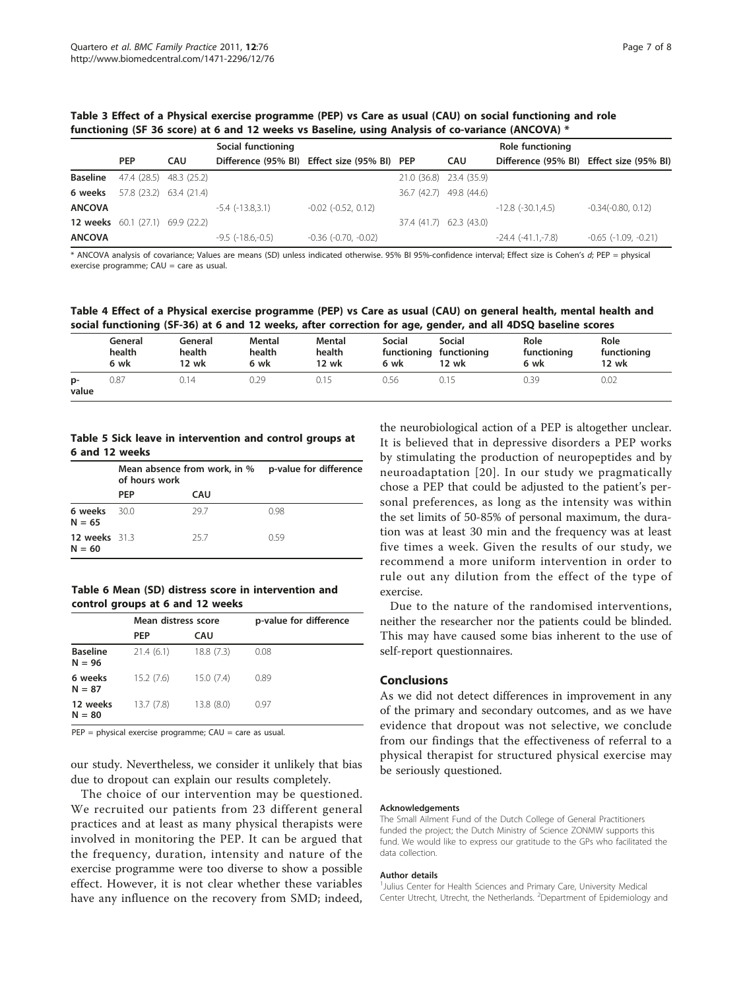|                 |            |                                         | Social functioning    |                                              |                         | Role functioning       |                                          |
|-----------------|------------|-----------------------------------------|-----------------------|----------------------------------------------|-------------------------|------------------------|------------------------------------------|
|                 | <b>PEP</b> | <b>CAU</b>                              |                       | Difference (95% BI) Effect size (95% BI) PEP | <b>CAU</b>              |                        | Difference (95% BI) Effect size (95% BI) |
| <b>Baseline</b> |            | 47.4 (28.5) 48.3 (25.2)                 |                       |                                              | 21.0 (36.8) 23.4 (35.9) |                        |                                          |
| 6 weeks         |            | 57.8 (23.2) 63.4 (21.4)                 |                       |                                              | 36.7 (42.7) 49.8 (44.6) |                        |                                          |
| <b>ANCOVA</b>   |            |                                         | $-5.4$ $(-13.8,3.1)$  | $-0.02$ $(-0.52, 0.12)$                      |                         | $-12.8$ $(-30.1, 4.5)$ | $-0.34(-0.80, 0.12)$                     |
|                 |            | <b>12 weeks</b> 60.1 (27.1) 69.9 (22.2) |                       |                                              | 37.4 (41.7) 62.3 (43.0) |                        |                                          |
| <b>ANCOVA</b>   |            |                                         | $-9.5$ $(-18.6,-0.5)$ | $-0.36$ $(-0.70, -0.02)$                     |                         | $-24.4$ $(-41.1,-7.8)$ | $-0.65$ ( $-1.09$ , $-0.21$ )            |
|                 |            |                                         |                       |                                              |                         |                        |                                          |

<span id="page-6-0"></span>Table 3 Effect of a Physical exercise programme (PEP) vs Care as usual (CAU) on social functioning and role functioning (SF 36 score) at 6 and 12 weeks vs Baseline, using Analysis of co-variance (ANCOVA) \*

\* ANCOVA analysis of covariance; Values are means (SD) unless indicated otherwise. 95% BI 95%-confidence interval; Effect size is Cohen's d; PEP = physical exercise programme; CAU = care as usual.

Table 4 Effect of a Physical exercise programme (PEP) vs Care as usual (CAU) on general health, mental health and social functioning (SF-36) at 6 and 12 weeks, after correction for age, gender, and all 4DSQ baseline scores

|                | General | General | Mental | Mental | <b>Social</b> | <b>Social</b> | Role        | Role        |
|----------------|---------|---------|--------|--------|---------------|---------------|-------------|-------------|
|                | health  | health  | health | health | functioning   | functioning   | functioning | functioning |
|                | 6 wk    | 12 wk   | 6 wk   | 12 wk  | 6 wk          | 12 wk         | 6 wk        | 12 wk       |
| $D -$<br>value | 0.87    | J.14    | 0.29   | 0.15   | 0.56          |               | 0.39        | 0.02        |

#### Table 5 Sick leave in intervention and control groups at 6 and 12 weeks

|                                  | of hours work |      | Mean absence from work, in % p-value for difference |
|----------------------------------|---------------|------|-----------------------------------------------------|
|                                  | <b>PEP</b>    | CAU  |                                                     |
| <b>6 weeks</b> 30.0<br>$N = 65$  |               | 297  | 0.98                                                |
| <b>12 weeks</b> 31.3<br>$N = 60$ |               | 25.7 | 0.59                                                |

Table 6 Mean (SD) distress score in intervention and control groups at 6 and 12 weeks

|                             | Mean distress score |            | p-value for difference |  |
|-----------------------------|---------------------|------------|------------------------|--|
|                             | <b>PEP</b>          | CAU        |                        |  |
| <b>Baseline</b><br>$N = 96$ | 21.4(6.1)           | 18.8(7.3)  | 0.08                   |  |
| 6 weeks<br>$N = 87$         | 15.2(7.6)           | 15.0(7.4)  | 0.89                   |  |
| 12 weeks<br>$N = 80$        | 13.7(7.8)           | 13.8 (8.0) | 0.97                   |  |

 $PEP = physical$  exercise programme;  $CAU = care$  as usual.

our study. Nevertheless, we consider it unlikely that bias due to dropout can explain our results completely.

The choice of our intervention may be questioned. We recruited our patients from 23 different general practices and at least as many physical therapists were involved in monitoring the PEP. It can be argued that the frequency, duration, intensity and nature of the exercise programme were too diverse to show a possible effect. However, it is not clear whether these variables have any influence on the recovery from SMD; indeed,

the neurobiological action of a PEP is altogether unclear. It is believed that in depressive disorders a PEP works by stimulating the production of neuropeptides and by neuroadaptation [[20\]](#page-7-0). In our study we pragmatically chose a PEP that could be adjusted to the patient's personal preferences, as long as the intensity was within the set limits of 50-85% of personal maximum, the duration was at least 30 min and the frequency was at least five times a week. Given the results of our study, we recommend a more uniform intervention in order to rule out any dilution from the effect of the type of exercise.

Due to the nature of the randomised interventions, neither the researcher nor the patients could be blinded. This may have caused some bias inherent to the use of self-report questionnaires.

# Conclusions

As we did not detect differences in improvement in any of the primary and secondary outcomes, and as we have evidence that dropout was not selective, we conclude from our findings that the effectiveness of referral to a physical therapist for structured physical exercise may be seriously questioned.

#### Acknowledgements

The Small Ailment Fund of the Dutch College of General Practitioners funded the project; the Dutch Ministry of Science ZONMW supports this fund. We would like to express our gratitude to the GPs who facilitated the data collection.

#### Author details

<sup>1</sup>Julius Center for Health Sciences and Primary Care, University Medical Center Utrecht, Utrecht, the Netherlands. <sup>2</sup>Department of Epidemiology and